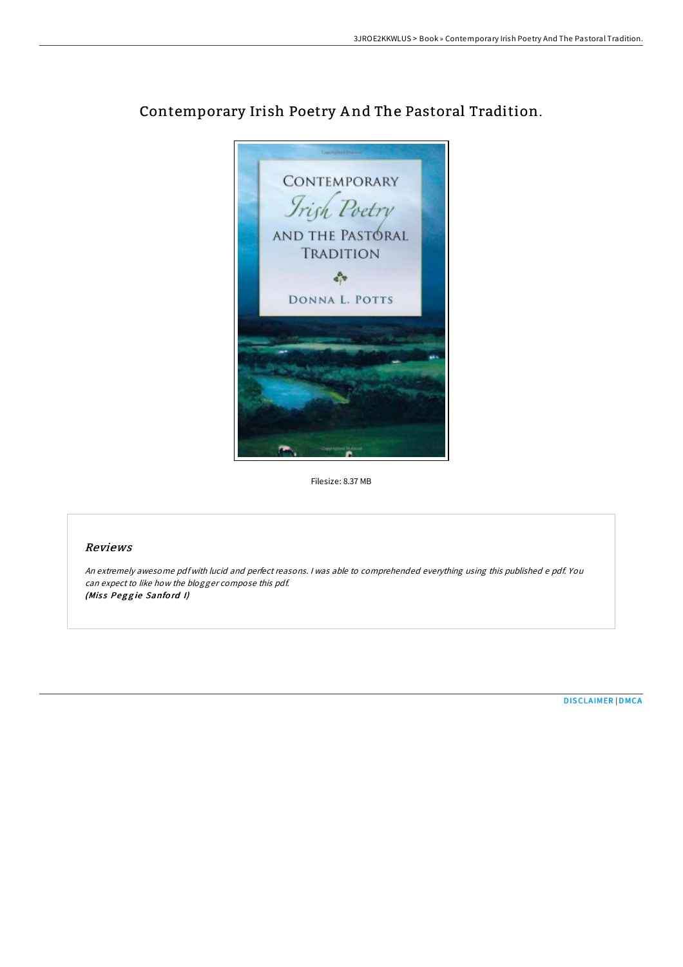

## Contemporary Irish Poetry A nd The Pastoral Tradition.

Filesize: 8.37 MB

## Reviews

An extremely awesome pdf with lucid and perfect reasons. <sup>I</sup> was able to comprehended everything using this published <sup>e</sup> pdf. You can expect to like how the blogger compose this pdf. (Miss Peggie Sanford I)

[DISCLAIMER](http://almighty24.tech/disclaimer.html) | [DMCA](http://almighty24.tech/dmca.html)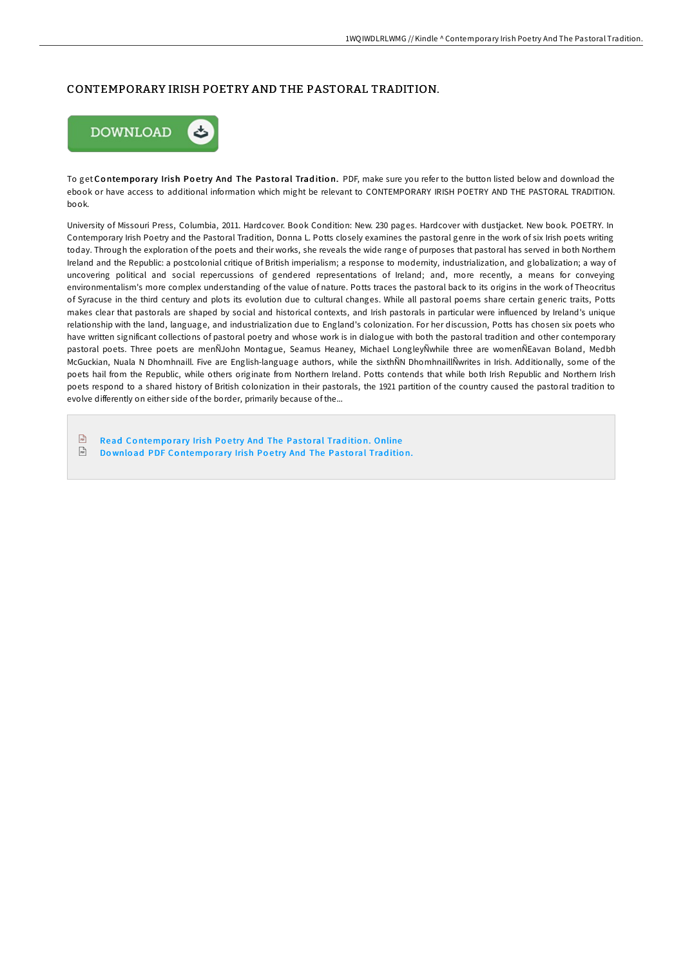## CONTEMPORARY IRISH POETRY AND THE PASTORAL TRADITION.



To get Contemporary Irish Poetry And The Pastoral Tradition. PDF, make sure you refer to the button listed below and download the ebook or have access to additional information which might be relevant to CONTEMPORARY IRISH POETRY AND THE PASTORAL TRADITION. book.

University of Missouri Press, Columbia, 2011. Hardcover. Book Condition: New. 230 pages. Hardcover with dustjacket. New book. POETRY. In Contemporary Irish Poetry and the Pastoral Tradition, Donna L. Potts closely examines the pastoral genre in the work of six Irish poets writing today. Through the exploration of the poets and their works, she reveals the wide range of purposes that pastoral has served in both Northern Ireland and the Republic: a postcolonial critique of British imperialism; a response to modernity, industrialization, and globalization; a way of uncovering political and social repercussions of gendered representations of Ireland; and, more recently, a means for conveying environmentalism's more complex understanding of the value of nature. Potts traces the pastoral back to its origins in the work of Theocritus of Syracuse in the third century and plots its evolution due to cultural changes. While all pastoral poems share certain generic traits, Potts makes clear that pastorals are shaped by social and historical contexts, and Irish pastorals in particular were influenced by Ireland's unique relationship with the land, language, and industrialization due to England's colonization. For her discussion, Potts has chosen six poets who have written significant collections of pastoral poetry and whose work is in dialogue with both the pastoral tradition and other contemporary pastoral poets. Three poets are menÑJohn Montague, Seamus Heaney, Michael LongleyÑwhile three are womenÑEavan Boland, Medbh McGuckian, Nuala N Dhomhnaill. Five are English-language authors, while the sixthÑN DhomhnaillÑwrites in Irish. Additionally, some of the poets hail from the Republic, while others originate from Northern Ireland. Potts contends that while both Irish Republic and Northern Irish poets respond to a shared history of British colonization in their pastorals, the 1921 partition of the country caused the pastoral tradition to evolve differently on either side of the border, primarily because of the...

- $\sqrt{m}$ Read Co[ntempo](http://almighty24.tech/contemporary-irish-poetry-and-the-pastoral-tradi.html)rary Irish Poetry And The Pastoral Tradition. Online  $\sqrt{m}$
- Download PDF Co[ntempo](http://almighty24.tech/contemporary-irish-poetry-and-the-pastoral-tradi.html)rary Irish Poetry And The Pastoral Tradition.